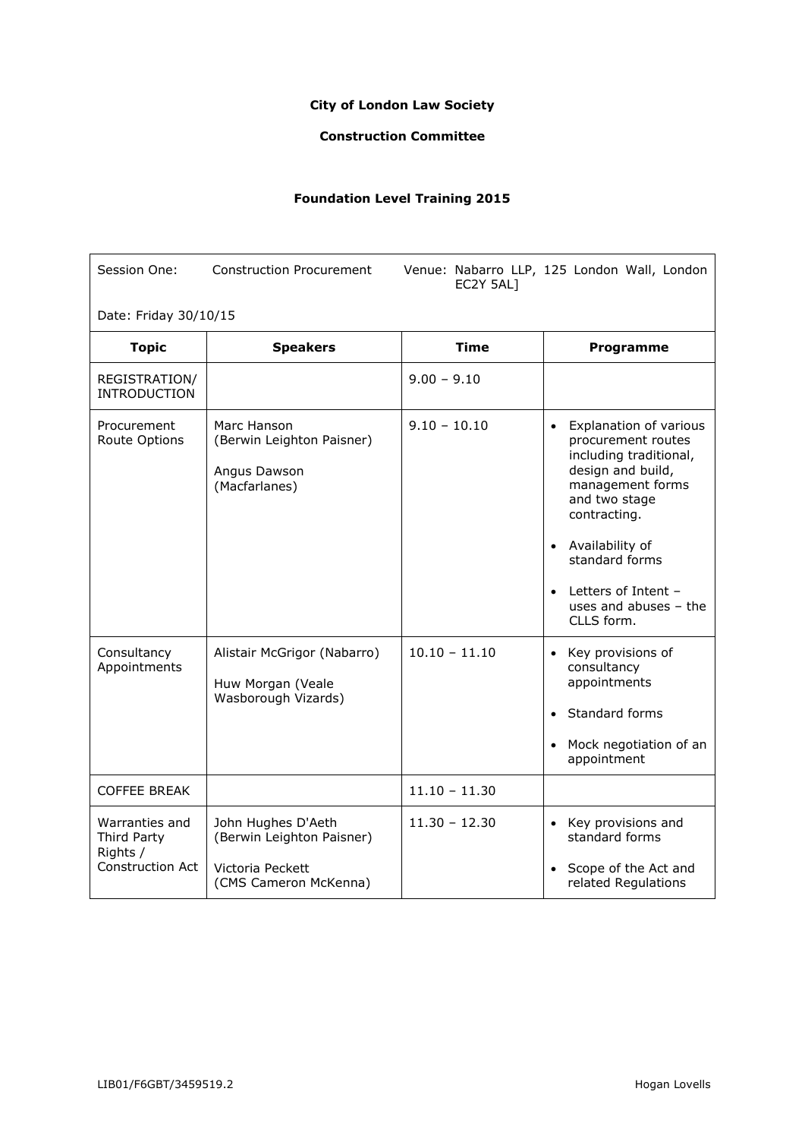## **City of London Law Society**

## **Construction Committee**

## **Foundation Level Training 2015**

| Session One:                                                         | <b>Construction Procurement</b>                                                              | EC2Y 5AL1       | Venue: Nabarro LLP, 125 London Wall, London                                                                                                                                                                                                                                              |  |
|----------------------------------------------------------------------|----------------------------------------------------------------------------------------------|-----------------|------------------------------------------------------------------------------------------------------------------------------------------------------------------------------------------------------------------------------------------------------------------------------------------|--|
| Date: Friday 30/10/15                                                |                                                                                              |                 |                                                                                                                                                                                                                                                                                          |  |
| <b>Topic</b>                                                         | <b>Speakers</b>                                                                              | <b>Time</b>     | Programme                                                                                                                                                                                                                                                                                |  |
| REGISTRATION/<br><b>INTRODUCTION</b>                                 |                                                                                              | $9.00 - 9.10$   |                                                                                                                                                                                                                                                                                          |  |
| Procurement<br>Route Options                                         | Marc Hanson<br>(Berwin Leighton Paisner)<br>Angus Dawson<br>(Macfarlanes)                    | $9.10 - 10.10$  | <b>Explanation of various</b><br>$\bullet$<br>procurement routes<br>including traditional,<br>design and build,<br>management forms<br>and two stage<br>contracting.<br>• Availability of<br>standard forms<br>Letters of Intent -<br>$\bullet$<br>uses and abuses $-$ the<br>CLLS form. |  |
| Consultancy<br>Appointments                                          | Alistair McGrigor (Nabarro)<br>Huw Morgan (Veale<br>Wasborough Vizards)                      | $10.10 - 11.10$ | • Key provisions of<br>consultancy<br>appointments<br>Standard forms<br>Mock negotiation of an<br>appointment                                                                                                                                                                            |  |
| <b>COFFEE BREAK</b>                                                  |                                                                                              | $11.10 - 11.30$ |                                                                                                                                                                                                                                                                                          |  |
| Warranties and<br>Third Party<br>Rights /<br><b>Construction Act</b> | John Hughes D'Aeth<br>(Berwin Leighton Paisner)<br>Victoria Peckett<br>(CMS Cameron McKenna) | $11.30 - 12.30$ | • Key provisions and<br>standard forms<br>• Scope of the Act and<br>related Regulations                                                                                                                                                                                                  |  |